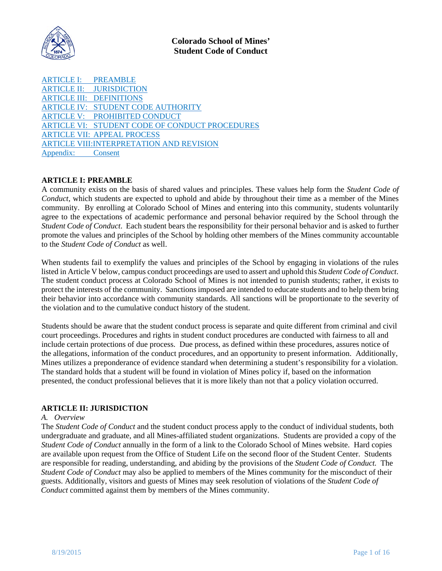

ARTICLE [I: PREAMBLE](#page-0-0) ARTICLE II: [JURISDICTION](#page-0-1) ARTICLE III: [DEFINITIONS](#page-2-0) ARTICLE IV: STUDENT CODE [AUTHORITY](#page-3-0) ARTICLE V: [PROHIBITED](#page-4-0) CONDUCT ARTICLE VI: STUDENT CODE OF CONDUCT [PROCEDURES](#page-6-0) ARTICLE VII: APPEAL [PROCESS](#page-11-0) ARTICLE [VIII:INTERPRETATION](#page-13-0) AND REVISION [Appendix:](#page-15-0) Consent

### <span id="page-0-0"></span>**ARTICLE I: PREAMBLE**

A community exists on the basis of shared values and principles. These values help form the *Student Code of Conduct*, which students are expected to uphold and abide by throughout their time as a member of the Mines community. By enrolling at Colorado School of Mines and entering into this community, students voluntarily agree to the expectations of academic performance and personal behavior required by the School through the *Student Code of Conduct*. Each student bears the responsibility for their personal behavior and is asked to further promote the values and principles of the School by holding other members of the Mines community accountable to the *Student Code of Conduct* as well.

When students fail to exemplify the values and principles of the School by engaging in violations of the rules listed in Article V below, campus conduct proceedings are used to assert and uphold this *Student Code of Conduct*. The student conduct process at Colorado School of Mines is not intended to punish students; rather, it exists to protect the interests of the community. Sanctions imposed are intended to educate students and to help them bring their behavior into accordance with community standards. All sanctions will be proportionate to the severity of the violation and to the cumulative conduct history of the student.

Students should be aware that the student conduct process is separate and quite different from criminal and civil court proceedings. Procedures and rights in student conduct procedures are conducted with fairness to all and include certain protections of due process. Due process, as defined within these procedures, assures notice of the allegations, information of the conduct procedures, and an opportunity to present information. Additionally, Mines utilizes a preponderance of evidence standard when determining a student's responsibility for a violation. The standard holds that a student will be found in violation of Mines policy if, based on the information presented, the conduct professional believes that it is more likely than not that a policy violation occurred.

#### <span id="page-0-1"></span>**ARTICLE II: JURISDICTION**

#### *A. Overview*

The *Student Code of Conduct* and the student conduct process apply to the conduct of individual students, both undergraduate and graduate, and all Mines-affiliated student organizations. Students are provided a copy of the *Student Code of Conduct* annually in the form of a link to the Colorado School of Mines website. Hard copies are available upon request from the Office of Student Life on the second floor of the Student Center. Students are responsible for reading, understanding, and abiding by the provisions of the *Student Code of Conduct.* The *Student Code of Conduct* may also be applied to members of the Mines community for the misconduct of their guests. Additionally, visitors and guests of Mines may seek resolution of violations of the *Student Code of Conduct* committed against them by members of the Mines community.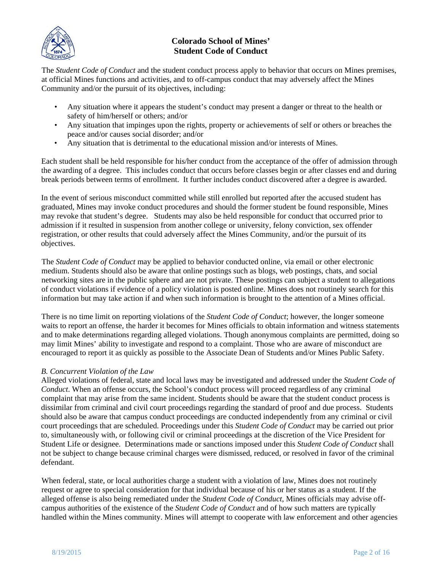

The *Student Code of Conduct* and the student conduct process apply to behavior that occurs on Mines premises, at official Mines functions and activities, and to off-campus conduct that may adversely affect the Mines Community and/or the pursuit of its objectives, including:

- Any situation where it appears the student's conduct may present a danger or threat to the health or safety of him/herself or others; and/or
- Any situation that impinges upon the rights, property or achievements of self or others or breaches the peace and/or causes social disorder; and/or
- Any situation that is detrimental to the educational mission and/or interests of Mines.

Each student shall be held responsible for his/her conduct from the acceptance of the offer of admission through the awarding of a degree. This includes conduct that occurs before classes begin or after classes end and during break periods between terms of enrollment. It further includes conduct discovered after a degree is awarded.

In the event of serious misconduct committed while still enrolled but reported after the accused student has graduated, Mines may invoke conduct procedures and should the former student be found responsible, Mines may revoke that student's degree. Students may also be held responsible for conduct that occurred prior to admission if it resulted in suspension from another college or university, felony conviction, sex offender registration, or other results that could adversely affect the Mines Community, and/or the pursuit of its objectives.

The *Student Code of Conduct* may be applied to behavior conducted online, via email or other electronic medium. Students should also be aware that online postings such as blogs, web postings, chats, and social networking sites are in the public sphere and are not private. These postings can subject a student to allegations of conduct violations if evidence of a policy violation is posted online. Mines does not routinely search for this information but may take action if and when such information is brought to the attention of a Mines official.

There is no time limit on reporting violations of the *Student Code of Conduct*; however, the longer someone waits to report an offense, the harder it becomes for Mines officials to obtain information and witness statements and to make determinations regarding alleged violations. Though anonymous complaints are permitted, doing so may limit Mines' ability to investigate and respond to a complaint. Those who are aware of misconduct are encouraged to report it as quickly as possible to the Associate Dean of Students and/or Mines Public Safety.

### *B. Concurrent Violation of the Law*

Alleged violations of federal, state and local laws may be investigated and addressed under the *Student Code of Conduct*. When an offense occurs, the School's conduct process will proceed regardless of any criminal complaint that may arise from the same incident. Students should be aware that the student conduct process is dissimilar from criminal and civil court proceedings regarding the standard of proof and due process. Students should also be aware that campus conduct proceedings are conducted independently from any criminal or civil court proceedings that are scheduled. Proceedings under this *Student Code of Conduct* may be carried out prior to, simultaneously with, or following civil or criminal proceedings at the discretion of the Vice President for Student Life or designee. Determinations made or sanctions imposed under this *Student Code of Conduct* shall not be subject to change because criminal charges were dismissed, reduced, or resolved in favor of the criminal defendant.

When federal, state, or local authorities charge a student with a violation of law, Mines does not routinely request or agree to special consideration for that individual because of his or her status as a student. If the alleged offense is also being remediated under the *Student Code of Conduct*, Mines officials may advise offcampus authorities of the existence of the *Student Code of Conduct* and of how such matters are typically handled within the Mines community. Mines will attempt to cooperate with law enforcement and other agencies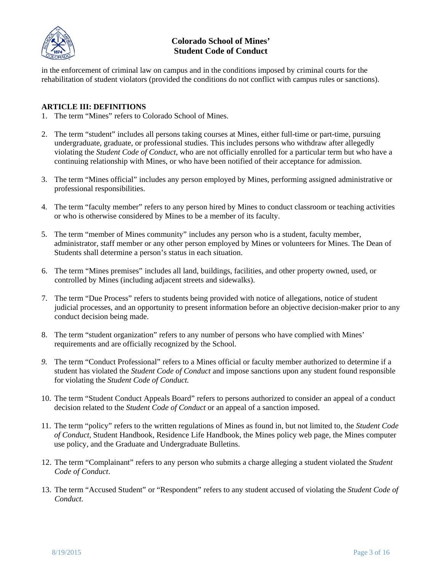

in the enforcement of criminal law on campus and in the conditions imposed by criminal courts for the rehabilitation of student violators (provided the conditions do not conflict with campus rules or sanctions).

### <span id="page-2-0"></span>**ARTICLE III: DEFINITIONS**

- 1. The term "Mines" refers to Colorado School of Mines.
- 2. The term "student" includes all persons taking courses at Mines, either full-time or part-time, pursuing undergraduate, graduate, or professional studies. This includes persons who withdraw after allegedly violating the *Student Code of Conduct*, who are not officially enrolled for a particular term but who have a continuing relationship with Mines, or who have been notified of their acceptance for admission.
- 3. The term "Mines official" includes any person employed by Mines, performing assigned administrative or professional responsibilities.
- 4. The term "faculty member" refers to any person hired by Mines to conduct classroom or teaching activities or who is otherwise considered by Mines to be a member of its faculty.
- 5. The term "member of Mines community" includes any person who is a student, faculty member, administrator, staff member or any other person employed by Mines or volunteers for Mines. The Dean of Students shall determine a person's status in each situation.
- 6. The term "Mines premises" includes all land, buildings, facilities, and other property owned, used, or controlled by Mines (including adjacent streets and sidewalks).
- 7. The term "Due Process" refers to students being provided with notice of allegations, notice of student judicial processes, and an opportunity to present information before an objective decision-maker prior to any conduct decision being made.
- 8. The term "student organization" refers to any number of persons who have complied with Mines' requirements and are officially recognized by the School.
- *9.* The term "Conduct Professional" refers to a Mines official or faculty member authorized to determine if a student has violated the *Student Code of Conduct* and impose sanctions upon any student found responsible for violating the *Student Code of Conduct.*
- 10. The term "Student Conduct Appeals Board" refers to persons authorized to consider an appeal of a conduct decision related to the *Student Code of Conduct* or an appeal of a sanction imposed.
- 11. The term "policy" refers to the written regulations of Mines as found in, but not limited to, the *Student Code of Conduct*, Student Handbook, Residence Life Handbook, the Mines policy web page, the Mines computer use policy, and the Graduate and Undergraduate Bulletins.
- 12. The term "Complainant" refers to any person who submits a charge alleging a student violated the *Student Code of Conduct*.
- 13. The term "Accused Student" or "Respondent" refers to any student accused of violating the *Student Code of Conduct.*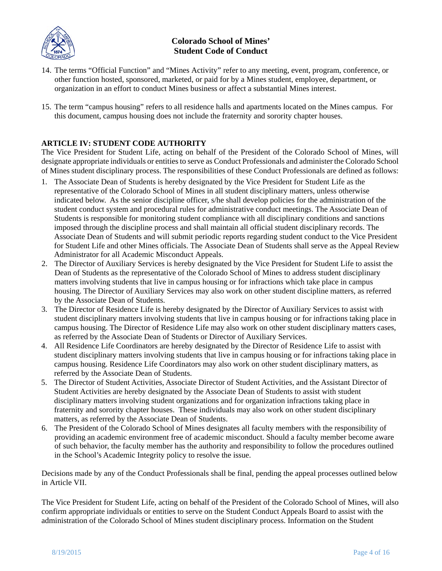

- 14. The terms "Official Function" and "Mines Activity" refer to any meeting, event, program, conference, or other function hosted, sponsored, marketed, or paid for by a Mines student, employee, department, or organization in an effort to conduct Mines business or affect a substantial Mines interest.
- 15. The term "campus housing" refers to all residence halls and apartments located on the Mines campus. For this document, campus housing does not include the fraternity and sorority chapter houses.

### <span id="page-3-0"></span>**ARTICLE IV: STUDENT CODE AUTHORITY**

The Vice President for Student Life, acting on behalf of the President of the Colorado School of Mines, will designate appropriate individuals or entitiesto serve as Conduct Professionals and administer the Colorado School of Mines student disciplinary process. The responsibilities of these Conduct Professionals are defined as follows:

- 1. The Associate Dean of Students is hereby designated by the Vice President for Student Life as the representative of the Colorado School of Mines in all student disciplinary matters, unless otherwise indicated below. As the senior discipline officer, s/he shall develop policies for the administration of the student conduct system and procedural rules for administrative conduct meetings. The Associate Dean of Students is responsible for monitoring student compliance with all disciplinary conditions and sanctions imposed through the discipline process and shall maintain all official student disciplinary records. The Associate Dean of Students and will submit periodic reports regarding student conduct to the Vice President for Student Life and other Mines officials. The Associate Dean of Students shall serve as the Appeal Review Administrator for all Academic Misconduct Appeals.
- 2. The Director of Auxiliary Services is hereby designated by the Vice President for Student Life to assist the Dean of Students as the representative of the Colorado School of Mines to address student disciplinary matters involving students that live in campus housing or for infractions which take place in campus housing. The Director of Auxiliary Services may also work on other student discipline matters, as referred by the Associate Dean of Students.
- 3. The Director of Residence Life is hereby designated by the Director of Auxiliary Services to assist with student disciplinary matters involving students that live in campus housing or for infractions taking place in campus housing. The Director of Residence Life may also work on other student disciplinary matters cases, as referred by the Associate Dean of Students or Director of Auxiliary Services.
- 4. All Residence Life Coordinators are hereby designated by the Director of Residence Life to assist with student disciplinary matters involving students that live in campus housing or for infractions taking place in campus housing. Residence Life Coordinators may also work on other student disciplinary matters, as referred by the Associate Dean of Students.
- 5. The Director of Student Activities, Associate Director of Student Activities, and the Assistant Director of Student Activities are hereby designated by the Associate Dean of Students to assist with student disciplinary matters involving student organizations and for organization infractions taking place in fraternity and sorority chapter houses. These individuals may also work on other student disciplinary matters, as referred by the Associate Dean of Students.
- 6. The President of the Colorado School of Mines designates all faculty members with the responsibility of providing an academic environment free of academic misconduct. Should a faculty member become aware of such behavior, the faculty member has the authority and responsibility to follow the procedures outlined in the School's Academic Integrity policy to resolve the issue.

Decisions made by any of the Conduct Professionals shall be final, pending the appeal processes outlined below in Article VII.

The Vice President for Student Life, acting on behalf of the President of the Colorado School of Mines, will also confirm appropriate individuals or entities to serve on the Student Conduct Appeals Board to assist with the administration of the Colorado School of Mines student disciplinary process. Information on the Student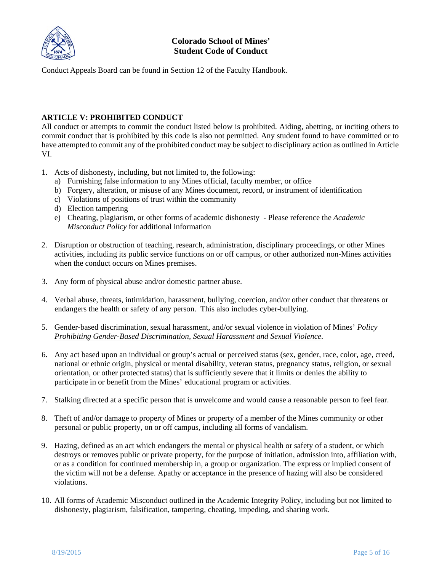

Conduct Appeals Board can be found in Section 12 of the Faculty Handbook.

### <span id="page-4-0"></span>**ARTICLE V: PROHIBITED CONDUCT**

All conduct or attempts to commit the conduct listed below is prohibited. Aiding, abetting, or inciting others to commit conduct that is prohibited by this code is also not permitted. Any student found to have committed or to have attempted to commit any of the prohibited conduct may be subject to disciplinary action as outlined in Article VI.

- 1. Acts of dishonesty, including, but not limited to, the following:
	- a) Furnishing false information to any Mines official, faculty member, or office
	- b) Forgery, alteration, or misuse of any Mines document, record, or instrument of identification
	- c) Violations of positions of trust within the community
	- d) Election tampering
	- e) Cheating, plagiarism, or other forms of academic dishonesty Please reference the *Academic Misconduct Policy* for additional information
- 2. Disruption or obstruction of teaching, research, administration, disciplinary proceedings, or other Mines activities, including its public service functions on or off campus, or other authorized non-Mines activities when the conduct occurs on Mines premises.
- 3. Any form of physical abuse and/or domestic partner abuse.
- 4. Verbal abuse, threats, intimidation, harassment, bullying, coercion, and/or other conduct that threatens or endangers the health or safety of any person. This also includes cyber-bullying.
- 5. Gender-based discrimination, sexual harassment, and/or sexual violence in violation of Mines' *[Policy](http://inside.mines.edu/POGO-Board-of-Trustees_1) Prohibiting Gender-Based [Discrimination,](http://inside.mines.edu/POGO-Board-of-Trustees_1) Sexual Harassment and Sexual Violence*.
- 6. Any act based upon an individual or group's actual or perceived status (sex, gender, race, color, age, creed, national or ethnic origin, physical or mental disability, veteran status, pregnancy status, religion, or sexual orientation, or other protected status) that is sufficiently severe that it limits or denies the ability to participate in or benefit from the Mines' educational program or activities.
- 7. Stalking directed at a specific person that is unwelcome and would cause a reasonable person to feel fear.
- 8. Theft of and/or damage to property of Mines or property of a member of the Mines community or other personal or public property, on or off campus, including all forms of vandalism.
- 9. Hazing, defined as an act which endangers the mental or physical health or safety of a student, or which destroys or removes public or private property, for the purpose of initiation, admission into, affiliation with, or as a condition for continued membership in, a group or organization. The express or implied consent of the victim will not be a defense. Apathy or acceptance in the presence of hazing will also be considered violations.
- 10. All forms of Academic Misconduct outlined in the Academic Integrity Policy, including but not limited to dishonesty, plagiarism, falsification, tampering, cheating, impeding, and sharing work.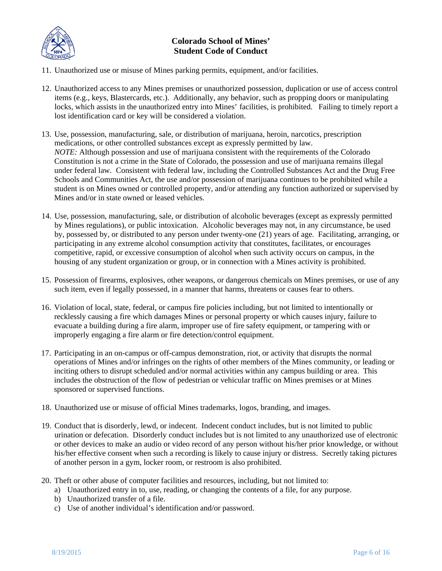

- 11. Unauthorized use or misuse of Mines parking permits, equipment, and/or facilities.
- 12. Unauthorized access to any Mines premises or unauthorized possession, duplication or use of access control items (e.g., keys, Blastercards, etc.). Additionally, any behavior, such as propping doors or manipulating locks, which assists in the unauthorized entry into Mines' facilities, is prohibited. Failing to timely report a lost identification card or key will be considered a violation.
- 13. Use, possession, manufacturing, sale, or distribution of marijuana, heroin, narcotics, prescription medications, or other controlled substances except as expressly permitted by law. *NOTE:* Although possession and use of marijuana consistent with the requirements of the Colorado Constitution is not a crime in the State of Colorado, the possession and use of marijuana remains illegal under federal law. Consistent with federal law, including the Controlled Substances Act and the Drug Free Schools and Communities Act, the use and/or possession of marijuana continues to be prohibited while a student is on Mines owned or controlled property, and/or attending any function authorized or supervised by Mines and/or in state owned or leased vehicles.
- 14. Use, possession, manufacturing, sale, or distribution of alcoholic beverages (except as expressly permitted by Mines regulations), or public intoxication. Alcoholic beverages may not, in any circumstance, be used by, possessed by, or distributed to any person under twenty-one (21) years of age. Facilitating, arranging, or participating in any extreme alcohol consumption activity that constitutes, facilitates, or encourages competitive, rapid, or excessive consumption of alcohol when such activity occurs on campus, in the housing of any student organization or group, or in connection with a Mines activity is prohibited.
- 15. Possession of firearms, explosives, other weapons, or dangerous chemicals on Mines premises, or use of any such item, even if legally possessed, in a manner that harms, threatens or causes fear to others.
- 16. Violation of local, state, federal, or campus fire policies including, but not limited to intentionally or recklessly causing a fire which damages Mines or personal property or which causes injury, failure to evacuate a building during a fire alarm, improper use of fire safety equipment, or tampering with or improperly engaging a fire alarm or fire detection/control equipment.
- 17. Participating in an on-campus or off-campus demonstration, riot, or activity that disrupts the normal operations of Mines and/or infringes on the rights of other members of the Mines community, or leading or inciting others to disrupt scheduled and/or normal activities within any campus building or area. This includes the obstruction of the flow of pedestrian or vehicular traffic on Mines premises or at Mines sponsored or supervised functions.
- 18. Unauthorized use or misuse of official Mines trademarks, logos, branding, and images.
- 19. Conduct that is disorderly, lewd, or indecent. Indecent conduct includes, but is not limited to public urination or defecation. Disorderly conduct includes but is not limited to any unauthorized use of electronic or other devices to make an audio or video record of any person without his/her prior knowledge, or without his/her effective consent when such a recording is likely to cause injury or distress. Secretly taking pictures of another person in a gym, locker room, or restroom is also prohibited.
- 20. Theft or other abuse of computer facilities and resources, including, but not limited to:
	- a) Unauthorized entry in to, use, reading, or changing the contents of a file, for any purpose.
	- b) Unauthorized transfer of a file.
	- c) Use of another individual's identification and/or password.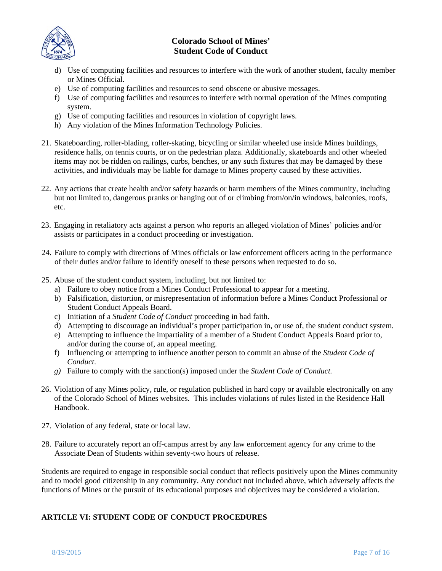

- d) Use of computing facilities and resources to interfere with the work of another student, faculty member or Mines Official.
- e) Use of computing facilities and resources to send obscene or abusive messages.
- f) Use of computing facilities and resources to interfere with normal operation of the Mines computing system.
- g) Use of computing facilities and resources in violation of copyright laws.
- h) Any violation of the Mines Information Technology Policies.
- 21. Skateboarding, roller-blading, roller-skating, bicycling or similar wheeled use inside Mines buildings, residence halls, on tennis courts, or on the pedestrian plaza. Additionally, skateboards and other wheeled items may not be ridden on railings, curbs, benches, or any such fixtures that may be damaged by these activities, and individuals may be liable for damage to Mines property caused by these activities.
- 22. Any actions that create health and/or safety hazards or harm members of the Mines community, including but not limited to, dangerous pranks or hanging out of or climbing from/on/in windows, balconies, roofs, etc.
- 23. Engaging in retaliatory acts against a person who reports an alleged violation of Mines' policies and/or assists or participates in a conduct proceeding or investigation.
- 24. Failure to comply with directions of Mines officials or law enforcement officers acting in the performance of their duties and/or failure to identify oneself to these persons when requested to do so.
- 25. Abuse of the student conduct system, including, but not limited to:
	- a) Failure to obey notice from a Mines Conduct Professional to appear for a meeting.
	- b) Falsification, distortion, or misrepresentation of information before a Mines Conduct Professional or Student Conduct Appeals Board.
	- c) Initiation of a *Student Code of Conduct* proceeding in bad faith.
	- d) Attempting to discourage an individual's proper participation in, or use of, the student conduct system.
	- e) Attempting to influence the impartiality of a member of a Student Conduct Appeals Board prior to, and/or during the course of, an appeal meeting.
	- f) Influencing or attempting to influence another person to commit an abuse of the *Student Code of Conduct*.
	- *g)* Failure to comply with the sanction(s) imposed under the *Student Code of Conduct.*
- 26. Violation of any Mines policy, rule, or regulation published in hard copy or available electronically on any of the Colorado School of Mines websites. This includes violations of rules listed in the Residence Hall Handbook.
- 27. Violation of any federal, state or local law.
- 28. Failure to accurately report an off-campus arrest by any law enforcement agency for any crime to the Associate Dean of Students within seventy-two hours of release.

Students are required to engage in responsible social conduct that reflects positively upon the Mines community and to model good citizenship in any community. Any conduct not included above, which adversely affects the functions of Mines or the pursuit of its educational purposes and objectives may be considered a violation.

### <span id="page-6-0"></span>**ARTICLE VI: STUDENT CODE OF CONDUCT PROCEDURES**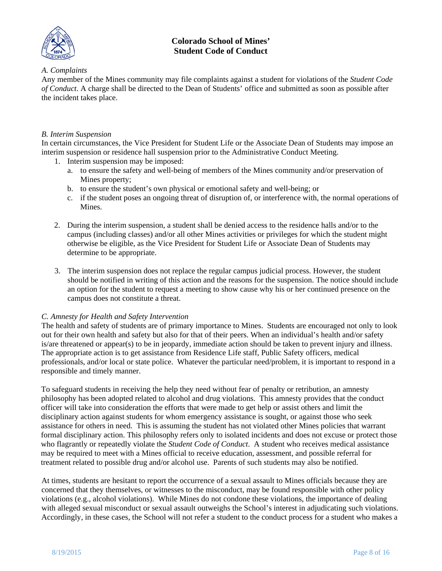

#### *A. Complaints*

Any member of the Mines community may file complaints against a student for violations of the *Student Code of Conduct*. A charge shall be directed to the Dean of Students' office and submitted as soon as possible after the incident takes place.

#### *B. Interim Suspension*

In certain circumstances, the Vice President for Student Life or the Associate Dean of Students may impose an interim suspension or residence hall suspension prior to the Administrative Conduct Meeting.

- 1. Interim suspension may be imposed:
	- a. to ensure the safety and well-being of members of the Mines community and/or preservation of Mines property;
	- b. to ensure the student's own physical or emotional safety and well-being; or
	- c. if the student poses an ongoing threat of disruption of, or interference with, the normal operations of Mines.
- 2. During the interim suspension, a student shall be denied access to the residence halls and/or to the campus (including classes) and/or all other Mines activities or privileges for which the student might otherwise be eligible, as the Vice President for Student Life or Associate Dean of Students may determine to be appropriate.
- 3. The interim suspension does not replace the regular campus judicial process. However, the student should be notified in writing of this action and the reasons for the suspension. The notice should include an option for the student to request a meeting to show cause why his or her continued presence on the campus does not constitute a threat.

#### *C. Amnesty for Health and Safety Intervention*

The health and safety of students are of primary importance to Mines. Students are encouraged not only to look out for their own health and safety but also for that of their peers. When an individual's health and/or safety is/are threatened or appear(s) to be in jeopardy, immediate action should be taken to prevent injury and illness. The appropriate action is to get assistance from Residence Life staff, Public Safety officers, medical professionals, and/or local or state police. Whatever the particular need/problem, it is important to respond in a responsible and timely manner.

To safeguard students in receiving the help they need without fear of penalty or retribution, an amnesty philosophy has been adopted related to alcohol and drug violations. This amnesty provides that the conduct officer will take into consideration the efforts that were made to get help or assist others and limit the disciplinary action against students for whom emergency assistance is sought, or against those who seek assistance for others in need. This is assuming the student has not violated other Mines policies that warrant formal disciplinary action. This philosophy refers only to isolated incidents and does not excuse or protect those who flagrantly or repeatedly violate the *Student Code of Conduct*. A student who receives medical assistance may be required to meet with a Mines official to receive education, assessment, and possible referral for treatment related to possible drug and/or alcohol use. Parents of such students may also be notified.

At times, students are hesitant to report the occurrence of a sexual assault to Mines officials because they are concerned that they themselves, or witnesses to the misconduct, may be found responsible with other policy violations (e.g., alcohol violations). While Mines do not condone these violations, the importance of dealing with alleged sexual misconduct or sexual assault outweighs the School's interest in adjudicating such violations. Accordingly, in these cases, the School will not refer a student to the conduct process for a student who makes a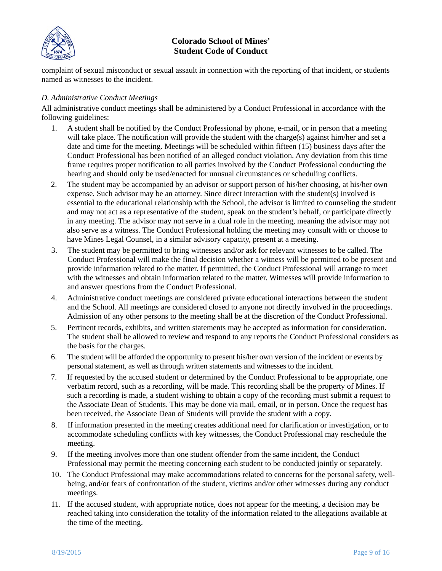

complaint of sexual misconduct or sexual assault in connection with the reporting of that incident, or students named as witnesses to the incident.

### *D. Administrative Conduct Meetings*

All administrative conduct meetings shall be administered by a Conduct Professional in accordance with the following guidelines:

- 1. A student shall be notified by the Conduct Professional by phone, e-mail, or in person that a meeting will take place. The notification will provide the student with the charge(s) against him/her and set a date and time for the meeting. Meetings will be scheduled within fifteen (15) business days after the Conduct Professional has been notified of an alleged conduct violation. Any deviation from this time frame requires proper notification to all parties involved by the Conduct Professional conducting the hearing and should only be used/enacted for unusual circumstances or scheduling conflicts.
- 2. The student may be accompanied by an advisor or support person of his/her choosing, at his/her own expense. Such advisor may be an attorney. Since direct interaction with the student(s) involved is essential to the educational relationship with the School, the advisor is limited to counseling the student and may not act as a representative of the student, speak on the student's behalf, or participate directly in any meeting. The advisor may not serve in a dual role in the meeting, meaning the advisor may not also serve as a witness. The Conduct Professional holding the meeting may consult with or choose to have Mines Legal Counsel, in a similar advisory capacity, present at a meeting.
- 3. The student may be permitted to bring witnesses and/or ask for relevant witnesses to be called. The Conduct Professional will make the final decision whether a witness will be permitted to be present and provide information related to the matter. If permitted, the Conduct Professional will arrange to meet with the witnesses and obtain information related to the matter. Witnesses will provide information to and answer questions from the Conduct Professional.
- 4. Administrative conduct meetings are considered private educational interactions between the student and the School. All meetings are considered closed to anyone not directly involved in the proceedings. Admission of any other persons to the meeting shall be at the discretion of the Conduct Professional.
- 5. Pertinent records, exhibits, and written statements may be accepted as information for consideration. The student shall be allowed to review and respond to any reports the Conduct Professional considers as the basis for the charges.
- 6. The student will be afforded the opportunity to present his/her own version of the incident or events by personal statement, as well as through written statements and witnesses to the incident.
- 7. If requested by the accused student or determined by the Conduct Professional to be appropriate, one verbatim record, such as a recording, will be made. This recording shall be the property of Mines. If such a recording is made, a student wishing to obtain a copy of the recording must submit a request to the Associate Dean of Students. This may be done via mail, email, or in person. Once the request has been received, the Associate Dean of Students will provide the student with a copy.
- 8. If information presented in the meeting creates additional need for clarification or investigation, or to accommodate scheduling conflicts with key witnesses, the Conduct Professional may reschedule the meeting.
- 9. If the meeting involves more than one student offender from the same incident, the Conduct Professional may permit the meeting concerning each student to be conducted jointly or separately.
- 10. The Conduct Professional may make accommodations related to concerns for the personal safety, wellbeing, and/or fears of confrontation of the student, victims and/or other witnesses during any conduct meetings.
- 11. If the accused student, with appropriate notice, does not appear for the meeting, a decision may be reached taking into consideration the totality of the information related to the allegations available at the time of the meeting.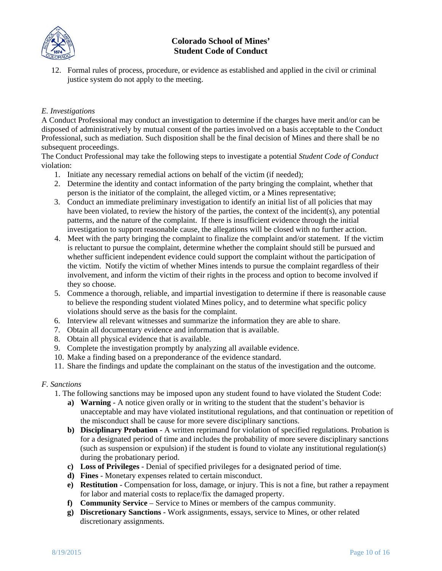

12. Formal rules of process, procedure, or evidence as established and applied in the civil or criminal justice system do not apply to the meeting.

### *E. Investigations*

A Conduct Professional may conduct an investigation to determine if the charges have merit and/or can be disposed of administratively by mutual consent of the parties involved on a basis acceptable to the Conduct Professional, such as mediation. Such disposition shall be the final decision of Mines and there shall be no subsequent proceedings.

The Conduct Professional may take the following steps to investigate a potential *Student Code of Conduct* violation:

- 1. Initiate any necessary remedial actions on behalf of the victim (if needed);
- 2. Determine the identity and contact information of the party bringing the complaint, whether that person is the initiator of the complaint, the alleged victim, or a Mines representative;
- 3. Conduct an immediate preliminary investigation to identify an initial list of all policies that may have been violated, to review the history of the parties, the context of the incident(s), any potential patterns, and the nature of the complaint. If there is insufficient evidence through the initial investigation to support reasonable cause, the allegations will be closed with no further action.
- 4. Meet with the party bringing the complaint to finalize the complaint and/or statement. If the victim is reluctant to pursue the complaint, determine whether the complaint should still be pursued and whether sufficient independent evidence could support the complaint without the participation of the victim. Notify the victim of whether Mines intends to pursue the complaint regardless of their involvement, and inform the victim of their rights in the process and option to become involved if they so choose.
- 5. Commence a thorough, reliable, and impartial investigation to determine if there is reasonable cause to believe the responding student violated Mines policy, and to determine what specific policy violations should serve as the basis for the complaint.
- 6. Interview all relevant witnesses and summarize the information they are able to share.
- 7. Obtain all documentary evidence and information that is available.
- 8. Obtain all physical evidence that is available.
- 9. Complete the investigation promptly by analyzing all available evidence.
- 10. Make a finding based on a preponderance of the evidence standard.
- 11. Share the findings and update the complainant on the status of the investigation and the outcome.

### *F. Sanctions*

- 1. The following sanctions may be imposed upon any student found to have violated the Student Code:
	- **a) Warning** A notice given orally or in writing to the student that the student's behavior is unacceptable and may have violated institutional regulations, and that continuation or repetition of the misconduct shall be cause for more severe disciplinary sanctions.
	- **b) Disciplinary Probation** A written reprimand for violation of specified regulations. Probation is for a designated period of time and includes the probability of more severe disciplinary sanctions (such as suspension or expulsion) if the student is found to violate any institutional regulation(s) during the probationary period.
	- **c) Loss of Privileges** Denial of specified privileges for a designated period of time.
	- **d) Fines** Monetary expenses related to certain misconduct.
	- **e) Restitution** Compensation for loss, damage, or injury. This is not a fine, but rather a repayment for labor and material costs to replace/fix the damaged property.
	- **f) Community Service** Service to Mines or members of the campus community.
	- **g) Discretionary Sanctions** Work assignments, essays, service to Mines, or other related discretionary assignments.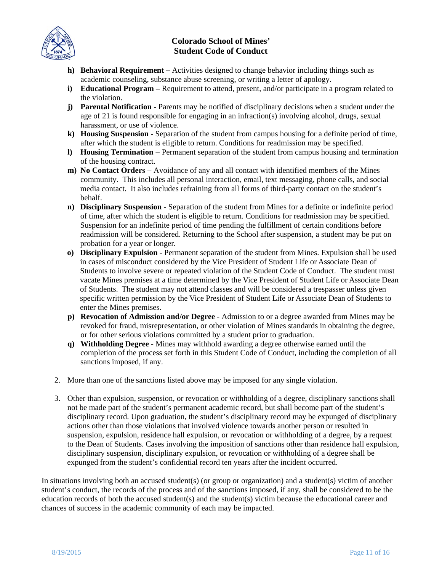

- **h) Behavioral Requirement –** Activities designed to change behavior including things such as academic counseling, substance abuse screening, or writing a letter of apology.
- **i) Educational Program –** Requirement to attend, present, and/or participate in a program related to the violation.
- **j) Parental Notification** Parents may be notified of disciplinary decisions when a student under the age of 21 is found responsible for engaging in an infraction(s) involving alcohol, drugs, sexual harassment, or use of violence.
- **k) Housing Suspension** Separation of the student from campus housing for a definite period of time, after which the student is eligible to return. Conditions for readmission may be specified.
- **l) Housing Termination** Permanent separation of the student from campus housing and termination of the housing contract.
- **m) No Contact Orders** Avoidance of any and all contact with identified members of the Mines community. This includes all personal interaction, email, text messaging, phone calls, and social media contact. It also includes refraining from all forms of third-party contact on the student's behalf.
- **n) Disciplinary Suspension** Separation of the student from Mines for a definite or indefinite period of time, after which the student is eligible to return. Conditions for readmission may be specified. Suspension for an indefinite period of time pending the fulfillment of certain conditions before readmission will be considered. Returning to the School after suspension, a student may be put on probation for a year or longer.
- **o) Disciplinary Expulsion** Permanent separation of the student from Mines. Expulsion shall be used in cases of misconduct considered by the Vice President of Student Life or Associate Dean of Students to involve severe or repeated violation of the Student Code of Conduct. The student must vacate Mines premises at a time determined by the Vice President of Student Life or Associate Dean of Students. The student may not attend classes and will be considered a trespasser unless given specific written permission by the Vice President of Student Life or Associate Dean of Students to enter the Mines premises.
- **p) Revocation of Admission and/or Degree** Admission to or a degree awarded from Mines may be revoked for fraud, misrepresentation, or other violation of Mines standards in obtaining the degree, or for other serious violations committed by a student prior to graduation.
- **q) Withholding Degree** Mines may withhold awarding a degree otherwise earned until the completion of the process set forth in this Student Code of Conduct, including the completion of all sanctions imposed, if any.
- 2. More than one of the sanctions listed above may be imposed for any single violation.
- 3. Other than expulsion, suspension, or revocation or withholding of a degree, disciplinary sanctions shall not be made part of the student's permanent academic record, but shall become part of the student's disciplinary record. Upon graduation, the student's disciplinary record may be expunged of disciplinary actions other than those violations that involved violence towards another person or resulted in suspension, expulsion, residence hall expulsion, or revocation or withholding of a degree, by a request to the Dean of Students. Cases involving the imposition of sanctions other than residence hall expulsion, disciplinary suspension, disciplinary expulsion, or revocation or withholding of a degree shall be expunged from the student's confidential record ten years after the incident occurred.

In situations involving both an accused student(s) (or group or organization) and a student(s) victim of another student's conduct, the records of the process and of the sanctions imposed, if any, shall be considered to be the education records of both the accused student(s) and the student(s) victim because the educational career and chances of success in the academic community of each may be impacted.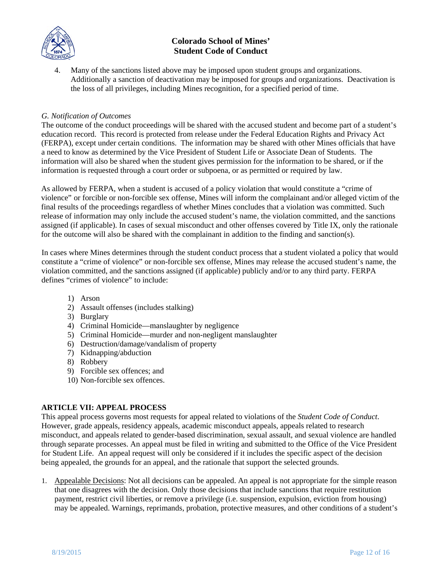

Many of the sanctions listed above may be imposed upon student groups and organizations. Additionally a sanction of deactivation may be imposed for groups and organizations. Deactivation is the loss of all privileges, including Mines recognition, for a specified period of time.

#### *G. Notification of Outcomes*

The outcome of the conduct proceedings will be shared with the accused student and become part of a student's education record. This record is protected from release under the Federal Education Rights and Privacy Act (FERPA), except under certain conditions. The information may be shared with other Mines officials that have a need to know as determined by the Vice President of Student Life or Associate Dean of Students. The information will also be shared when the student gives permission for the information to be shared, or if the information is requested through a court order or subpoena, or as permitted or required by law.

As allowed by FERPA, when a student is accused of a policy violation that would constitute a "crime of violence" or forcible or non-forcible sex offense, Mines will inform the complainant and/or alleged victim of the final results of the proceedings regardless of whether Mines concludes that a violation was committed. Such release of information may only include the accused student's name, the violation committed, and the sanctions assigned (if applicable). In cases of sexual misconduct and other offenses covered by Title IX, only the rationale for the outcome will also be shared with the complainant in addition to the finding and sanction(s).

In cases where Mines determines through the student conduct process that a student violated a policy that would constitute a "crime of violence" or non-forcible sex offense, Mines may release the accused student's name, the violation committed, and the sanctions assigned (if applicable) publicly and/or to any third party. FERPA defines "crimes of violence" to include:

- 1) Arson
- 2) Assault offenses (includes stalking)
- 3) Burglary
- 4) Criminal Homicide—manslaughter by negligence
- 5) Criminal Homicide—murder and non-negligent manslaughter
- 6) Destruction/damage/vandalism of property
- 7) Kidnapping/abduction
- 8) Robbery
- 9) Forcible sex offences; and
- 10) Non-forcible sex offences.

#### <span id="page-11-0"></span>**ARTICLE VII: APPEAL PROCESS**

This appeal process governs most requests for appeal related to violations of the *Student Code of Conduct*. However, grade appeals, residency appeals, academic misconduct appeals, appeals related to research misconduct, and appeals related to gender-based discrimination, sexual assault, and sexual violence are handled through separate processes. An appeal must be filed in writing and submitted to the Office of the Vice President for Student Life. An appeal request will only be considered if it includes the specific aspect of the decision being appealed, the grounds for an appeal, and the rationale that support the selected grounds.

1. Appealable Decisions: Not all decisions can be appealed. An appeal is not appropriate for the simple reason that one disagrees with the decision. Only those decisions that include sanctions that require restitution payment, restrict civil liberties, or remove a privilege (i.e. suspension, expulsion, eviction from housing) may be appealed. Warnings, reprimands, probation, protective measures, and other conditions of a student's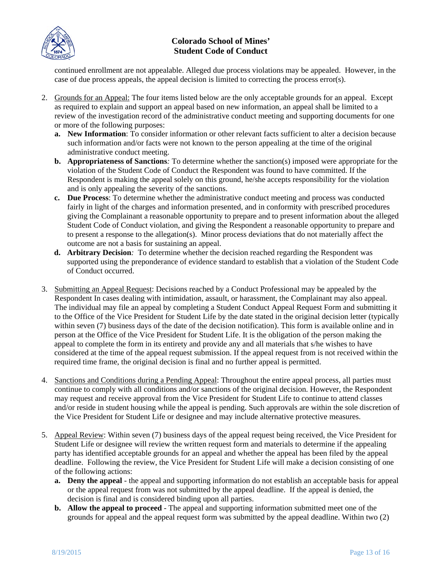

continued enrollment are not appealable. Alleged due process violations may be appealed. However, in the case of due process appeals, the appeal decision is limited to correcting the process error(s).

- 2. Grounds for an Appeal: The four items listed below are the only acceptable grounds for an appeal. Except as required to explain and support an appeal based on new information, an appeal shall be limited to a review of the investigation record of the administrative conduct meeting and supporting documents for one or more of the following purposes:
	- **a. New Information**: To consider information or other relevant facts sufficient to alter a decision because such information and/or facts were not known to the person appealing at the time of the original administrative conduct meeting.
	- **b. Appropriateness of Sanctions***:* To determine whether the sanction(s) imposed were appropriate for the violation of the Student Code of Conduct the Respondent was found to have committed. If the Respondent is making the appeal solely on this ground, he/she accepts responsibility for the violation and is only appealing the severity of the sanctions.
	- **c. Due Process**: To determine whether the administrative conduct meeting and process was conducted fairly in light of the charges and information presented, and in conformity with prescribed procedures giving the Complainant a reasonable opportunity to prepare and to present information about the alleged Student Code of Conduct violation, and giving the Respondent a reasonable opportunity to prepare and to present a response to the allegation(s). Minor process deviations that do not materially affect the outcome are not a basis for sustaining an appeal.
	- **d. Arbitrary Decision***:* To determine whether the decision reached regarding the Respondent was supported using the preponderance of evidence standard to establish that a violation of the Student Code of Conduct occurred.
- 3. Submitting an Appeal Request: Decisions reached by a Conduct Professional may be appealed by the Respondent In cases dealing with intimidation, assault, or harassment, the Complainant may also appeal. The individual may file an appeal by completing a Student Conduct Appeal Request Form and submitting it to the Office of the Vice President for Student Life by the date stated in the original decision letter (typically within seven (7) business days of the date of the decision notification). This form is available online and in person at the Office of the Vice President for Student Life. It is the obligation of the person making the appeal to complete the form in its entirety and provide any and all materials that s/he wishes to have considered at the time of the appeal request submission. If the appeal request from is not received within the required time frame, the original decision is final and no further appeal is permitted.
- 4. Sanctions and Conditions during a Pending Appeal: Throughout the entire appeal process, all parties must continue to comply with all conditions and/or sanctions of the original decision. However, the Respondent may request and receive approval from the Vice President for Student Life to continue to attend classes and/or reside in student housing while the appeal is pending. Such approvals are within the sole discretion of the Vice President for Student Life or designee and may include alternative protective measures.
- 5. Appeal Review: Within seven (7) business days of the appeal request being received, the Vice President for Student Life or designee will review the written request form and materials to determine if the appealing party has identified acceptable grounds for an appeal and whether the appeal has been filed by the appeal deadline. Following the review, the Vice President for Student Life will make a decision consisting of one of the following actions:
	- **a. Deny the appeal** the appeal and supporting information do not establish an acceptable basis for appeal or the appeal request from was not submitted by the appeal deadline. If the appeal is denied, the decision is final and is considered binding upon all parties.
	- **b. Allow the appeal to proceed** The appeal and supporting information submitted meet one of the grounds for appeal and the appeal request form was submitted by the appeal deadline. Within two (2)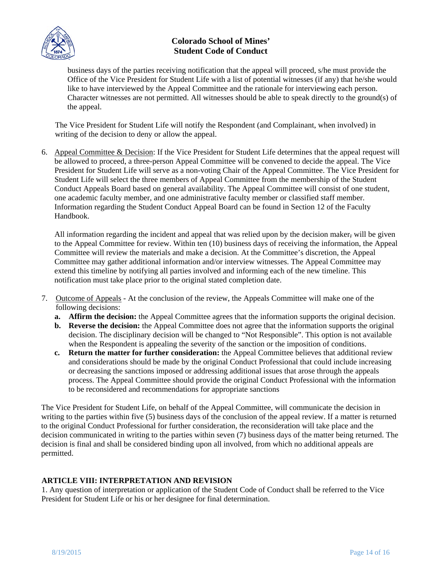

business days of the parties receiving notification that the appeal will proceed, s/he must provide the Office of the Vice President for Student Life with a list of potential witnesses (if any) that he/she would like to have interviewed by the Appeal Committee and the rationale for interviewing each person. Character witnesses are not permitted. All witnesses should be able to speak directly to the ground(s) of the appeal.

The Vice President for Student Life will notify the Respondent (and Complainant, when involved) in writing of the decision to deny or allow the appeal.

6. Appeal Committee & Decision: If the Vice President for Student Life determines that the appeal request will be allowed to proceed, a three-person Appeal Committee will be convened to decide the appeal. The Vice President for Student Life will serve as a non-voting Chair of the Appeal Committee. The Vice President for Student Life will select the three members of Appeal Committee from the membership of the Student Conduct Appeals Board based on general availability. The Appeal Committee will consist of one student, one academic faculty member, and one administrative faculty member or classified staff member. Information regarding the Student Conduct Appeal Board can be found in Section 12 of the Faculty Handbook.

All information regarding the incident and appeal that was relied upon by the decision maker, will be given to the Appeal Committee for review. Within ten (10) business days of receiving the information, the Appeal Committee will review the materials and make a decision. At the Committee's discretion, the Appeal Committee may gather additional information and/or interview witnesses. The Appeal Committee may extend this timeline by notifying all parties involved and informing each of the new timeline. This notification must take place prior to the original stated completion date.

- 7. Outcome of Appeals At the conclusion of the review, the Appeals Committee will make one of the following decisions:
	- **a. Affirm the decision:** the Appeal Committee agrees that the information supports the original decision.
	- **b. Reverse the decision:** the Appeal Committee does not agree that the information supports the original decision. The disciplinary decision will be changed to "Not Responsible". This option is not available when the Respondent is appealing the severity of the sanction or the imposition of conditions.
	- **c. Return the matter for further consideration:** the Appeal Committee believes that additional review and considerations should be made by the original Conduct Professional that could include increasing or decreasing the sanctions imposed or addressing additional issues that arose through the appeals process. The Appeal Committee should provide the original Conduct Professional with the information to be reconsidered and recommendations for appropriate sanctions

The Vice President for Student Life, on behalf of the Appeal Committee, will communicate the decision in writing to the parties within five (5) business days of the conclusion of the appeal review. If a matter is returned to the original Conduct Professional for further consideration, the reconsideration will take place and the decision communicated in writing to the parties within seven (7) business days of the matter being returned. The decision is final and shall be considered binding upon all involved, from which no additional appeals are permitted.

### <span id="page-13-0"></span>**ARTICLE VIII: INTERPRETATION AND REVISION**

1. Any question of interpretation or application of the Student Code of Conduct shall be referred to the Vice President for Student Life or his or her designee for final determination.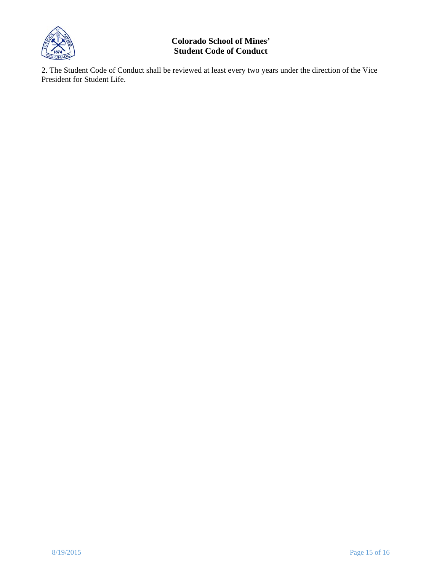

2. The Student Code of Conduct shall be reviewed at least every two years under the direction of the Vice President for Student Life.